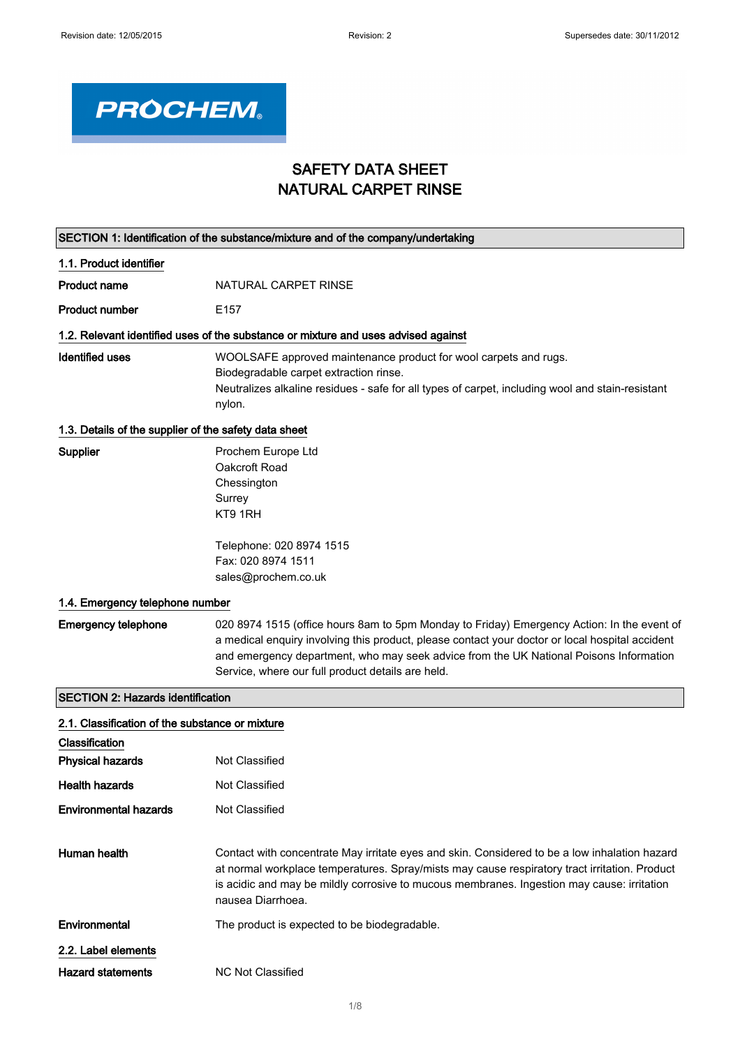

## SAFETY DATA SHEET NATURAL CARPET RINSE

| SECTION 1: Identification of the substance/mixture and of the company/undertaking |                                                                                                                                                                                                                                                                                                                                              |  |
|-----------------------------------------------------------------------------------|----------------------------------------------------------------------------------------------------------------------------------------------------------------------------------------------------------------------------------------------------------------------------------------------------------------------------------------------|--|
| 1.1. Product identifier                                                           |                                                                                                                                                                                                                                                                                                                                              |  |
| <b>Product name</b>                                                               | NATURAL CARPET RINSE                                                                                                                                                                                                                                                                                                                         |  |
| <b>Product number</b>                                                             | E <sub>157</sub>                                                                                                                                                                                                                                                                                                                             |  |
|                                                                                   | 1.2. Relevant identified uses of the substance or mixture and uses advised against                                                                                                                                                                                                                                                           |  |
| <b>Identified uses</b>                                                            | WOOLSAFE approved maintenance product for wool carpets and rugs.<br>Biodegradable carpet extraction rinse.<br>Neutralizes alkaline residues - safe for all types of carpet, including wool and stain-resistant<br>nylon.                                                                                                                     |  |
| 1.3. Details of the supplier of the safety data sheet                             |                                                                                                                                                                                                                                                                                                                                              |  |
| <b>Supplier</b>                                                                   | Prochem Europe Ltd<br>Oakcroft Road<br>Chessington<br>Surrey<br>KT9 1RH                                                                                                                                                                                                                                                                      |  |
|                                                                                   | Telephone: 020 8974 1515<br>Fax: 020 8974 1511<br>sales@prochem.co.uk                                                                                                                                                                                                                                                                        |  |
| 1.4. Emergency telephone number                                                   |                                                                                                                                                                                                                                                                                                                                              |  |
| <b>Emergency telephone</b>                                                        | 020 8974 1515 (office hours 8am to 5pm Monday to Friday) Emergency Action: In the event of<br>a medical enquiry involving this product, please contact your doctor or local hospital accident<br>and emergency department, who may seek advice from the UK National Poisons Information<br>Service, where our full product details are held. |  |
| <b>SECTION 2: Hazards identification</b>                                          |                                                                                                                                                                                                                                                                                                                                              |  |
| 2.1. Classification of the substance or mixture                                   |                                                                                                                                                                                                                                                                                                                                              |  |
| Classification                                                                    |                                                                                                                                                                                                                                                                                                                                              |  |
| <b>Physical hazards</b>                                                           | Not Classified                                                                                                                                                                                                                                                                                                                               |  |
| <b>Health hazards</b>                                                             | Not Classified                                                                                                                                                                                                                                                                                                                               |  |

Human health Contact with concentrate May irritate eyes and skin. Considered to be a low inhalation hazard at normal workplace temperatures. Spray/mists may cause respiratory tract irritation. Product is acidic and may be mildly corrosive to mucous membranes. Ingestion may cause: irritation nausea Diarrhoea.

Environmental The product is expected to be biodegradable.

2.2. Label elements

Hazard statements MC Not Classified

**Environmental hazards** Not Classified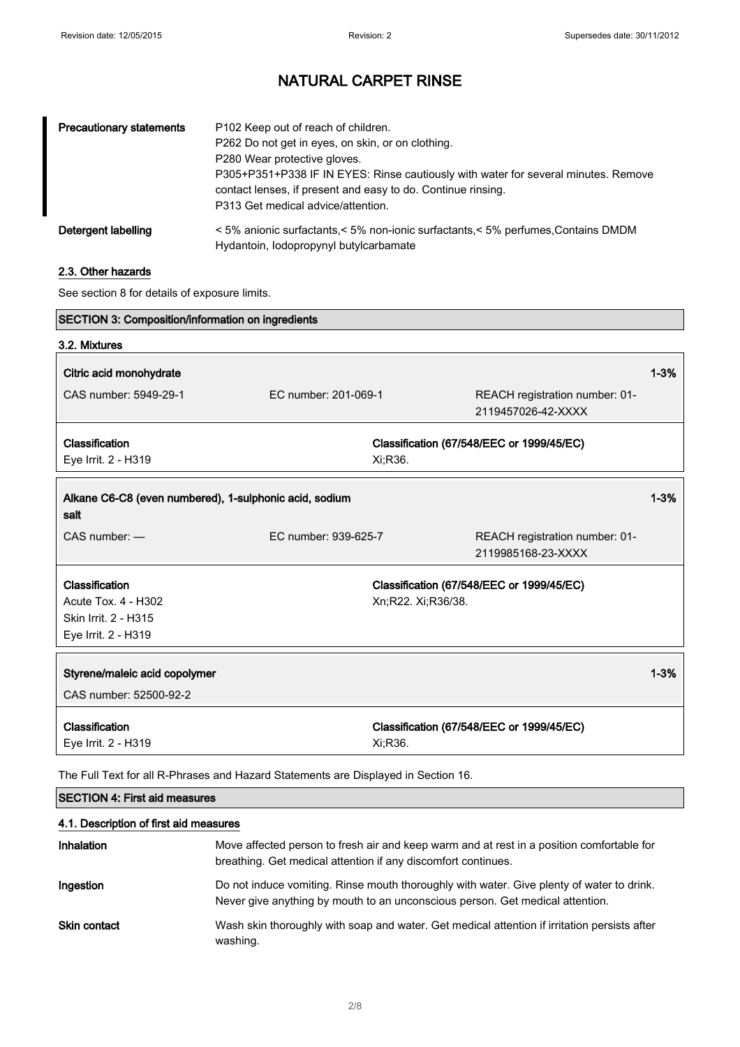| <b>Precautionary statements</b> | P102 Keep out of reach of children.<br>P262 Do not get in eyes, on skin, or on clothing.<br>P280 Wear protective gloves.<br>P305+P351+P338 IF IN EYES: Rinse cautiously with water for several minutes. Remove<br>contact lenses, if present and easy to do. Continue rinsing.<br>P313 Get medical advice/attention. |
|---------------------------------|----------------------------------------------------------------------------------------------------------------------------------------------------------------------------------------------------------------------------------------------------------------------------------------------------------------------|
| Detergent labelling             | < 5% anionic surfactants,< 5% non-ionic surfactants,< 5% perfumes, Contains DMDM<br>Hydantoin, lodopropynyl butylcarbamate                                                                                                                                                                                           |

## 2.3. Other hazards

See section 8 for details of exposure limits.

| <b>SECTION 3: Composition/information on ingredients</b>                           |                      |                    |                                                      |          |
|------------------------------------------------------------------------------------|----------------------|--------------------|------------------------------------------------------|----------|
| 3.2. Mixtures                                                                      |                      |                    |                                                      |          |
| Citric acid monohydrate                                                            |                      |                    |                                                      | $1 - 3%$ |
| CAS number: 5949-29-1                                                              | EC number: 201-069-1 |                    | REACH registration number: 01-<br>2119457026-42-XXXX |          |
| Classification                                                                     |                      |                    | Classification (67/548/EEC or 1999/45/EC)            |          |
| Eye Irrit. 2 - H319                                                                |                      | Xi;R36.            |                                                      |          |
| Alkane C6-C8 (even numbered), 1-sulphonic acid, sodium<br>salt                     |                      |                    |                                                      | $1 - 3%$ |
| $CAS$ number: $-$                                                                  | EC number: 939-625-7 |                    | REACH registration number: 01-<br>2119985168-23-XXXX |          |
| Classification                                                                     |                      |                    | Classification (67/548/EEC or 1999/45/EC)            |          |
| Acute Tox. 4 - H302                                                                |                      | Xn;R22. Xi;R36/38. |                                                      |          |
| Skin Irrit. 2 - H315                                                               |                      |                    |                                                      |          |
| Eye Irrit. 2 - H319                                                                |                      |                    |                                                      |          |
| Styrene/maleic acid copolymer                                                      |                      |                    |                                                      | $1 - 3%$ |
| CAS number: 52500-92-2                                                             |                      |                    |                                                      |          |
| Classification                                                                     |                      |                    | Classification (67/548/EEC or 1999/45/EC)            |          |
| Eye Irrit. 2 - H319                                                                |                      | Xi:R36.            |                                                      |          |
| The Full Text for all R-Phrases and Hazard Statements are Displayed in Section 16. |                      |                    |                                                      |          |

## SECTION 4: First aid measures

### 4.1. Description of first aid measures

| Inhalation   | Move affected person to fresh air and keep warm and at rest in a position comfortable for<br>breathing. Get medical attention if any discomfort continues.                 |
|--------------|----------------------------------------------------------------------------------------------------------------------------------------------------------------------------|
| Ingestion    | Do not induce vomiting. Rinse mouth thoroughly with water. Give plenty of water to drink.<br>Never give anything by mouth to an unconscious person. Get medical attention. |
| Skin contact | Wash skin thoroughly with soap and water. Get medical attention if irritation persists after<br>washing.                                                                   |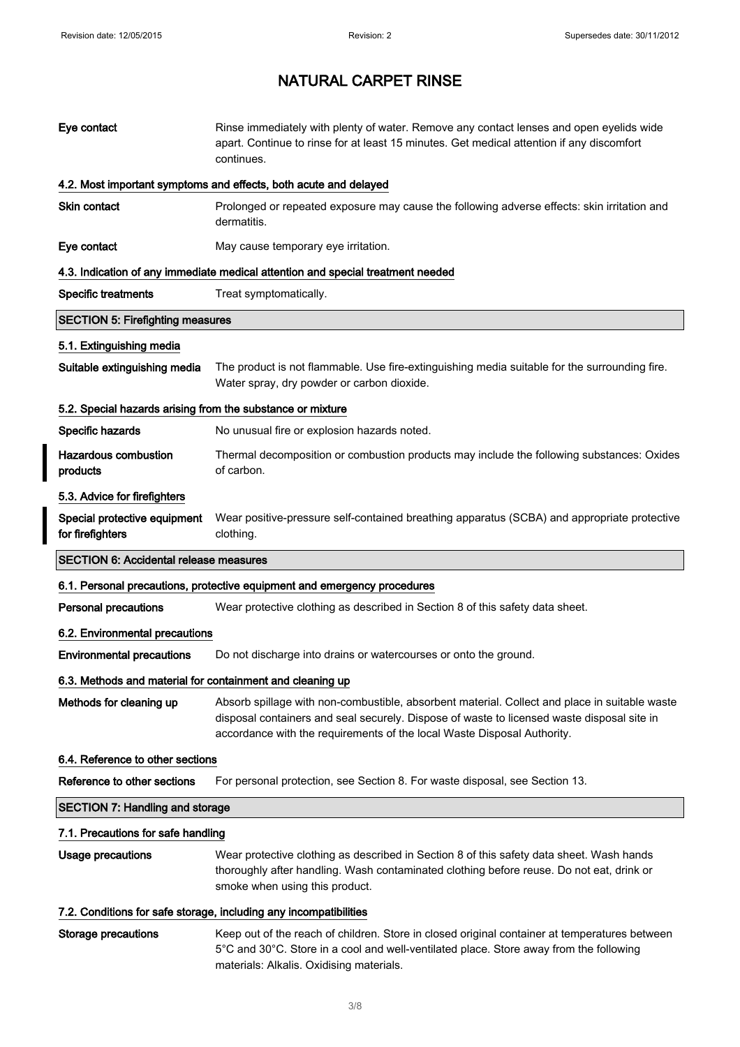I

I

# NATURAL CARPET RINSE

| Eye contact                                                | Rinse immediately with plenty of water. Remove any contact lenses and open eyelids wide<br>apart. Continue to rinse for at least 15 minutes. Get medical attention if any discomfort<br>continues.                                                                     |
|------------------------------------------------------------|------------------------------------------------------------------------------------------------------------------------------------------------------------------------------------------------------------------------------------------------------------------------|
|                                                            | 4.2. Most important symptoms and effects, both acute and delayed                                                                                                                                                                                                       |
| Skin contact                                               | Prolonged or repeated exposure may cause the following adverse effects: skin irritation and<br>dermatitis.                                                                                                                                                             |
| Eye contact                                                | May cause temporary eye irritation.                                                                                                                                                                                                                                    |
|                                                            | 4.3. Indication of any immediate medical attention and special treatment needed                                                                                                                                                                                        |
| <b>Specific treatments</b>                                 | Treat symptomatically.                                                                                                                                                                                                                                                 |
| <b>SECTION 5: Firefighting measures</b>                    |                                                                                                                                                                                                                                                                        |
| 5.1. Extinguishing media                                   |                                                                                                                                                                                                                                                                        |
| Suitable extinguishing media                               | The product is not flammable. Use fire-extinguishing media suitable for the surrounding fire.<br>Water spray, dry powder or carbon dioxide.                                                                                                                            |
| 5.2. Special hazards arising from the substance or mixture |                                                                                                                                                                                                                                                                        |
| Specific hazards                                           | No unusual fire or explosion hazards noted.                                                                                                                                                                                                                            |
| <b>Hazardous combustion</b><br>products                    | Thermal decomposition or combustion products may include the following substances: Oxides<br>of carbon.                                                                                                                                                                |
| 5.3. Advice for firefighters                               |                                                                                                                                                                                                                                                                        |
| Special protective equipment<br>for firefighters           | Wear positive-pressure self-contained breathing apparatus (SCBA) and appropriate protective<br>clothing.                                                                                                                                                               |
|                                                            |                                                                                                                                                                                                                                                                        |
| <b>SECTION 6: Accidental release measures</b>              |                                                                                                                                                                                                                                                                        |
|                                                            | 6.1. Personal precautions, protective equipment and emergency procedures                                                                                                                                                                                               |
| <b>Personal precautions</b>                                | Wear protective clothing as described in Section 8 of this safety data sheet.                                                                                                                                                                                          |
| 6.2. Environmental precautions                             |                                                                                                                                                                                                                                                                        |
| <b>Environmental precautions</b>                           | Do not discharge into drains or watercourses or onto the ground.                                                                                                                                                                                                       |
| 6.3. Methods and material for containment and cleaning up  |                                                                                                                                                                                                                                                                        |
| Methods for cleaning up                                    | Absorb spillage with non-combustible, absorbent material. Collect and place in suitable waste<br>disposal containers and seal securely. Dispose of waste to licensed waste disposal site in<br>accordance with the requirements of the local Waste Disposal Authority. |
| 6.4. Reference to other sections                           |                                                                                                                                                                                                                                                                        |
| Reference to other sections                                | For personal protection, see Section 8. For waste disposal, see Section 13.                                                                                                                                                                                            |
| <b>SECTION 7: Handling and storage</b>                     |                                                                                                                                                                                                                                                                        |
| 7.1. Precautions for safe handling                         |                                                                                                                                                                                                                                                                        |
| Usage precautions                                          | Wear protective clothing as described in Section 8 of this safety data sheet. Wash hands<br>thoroughly after handling. Wash contaminated clothing before reuse. Do not eat, drink or<br>smoke when using this product.                                                 |
|                                                            | 7.2. Conditions for safe storage, including any incompatibilities                                                                                                                                                                                                      |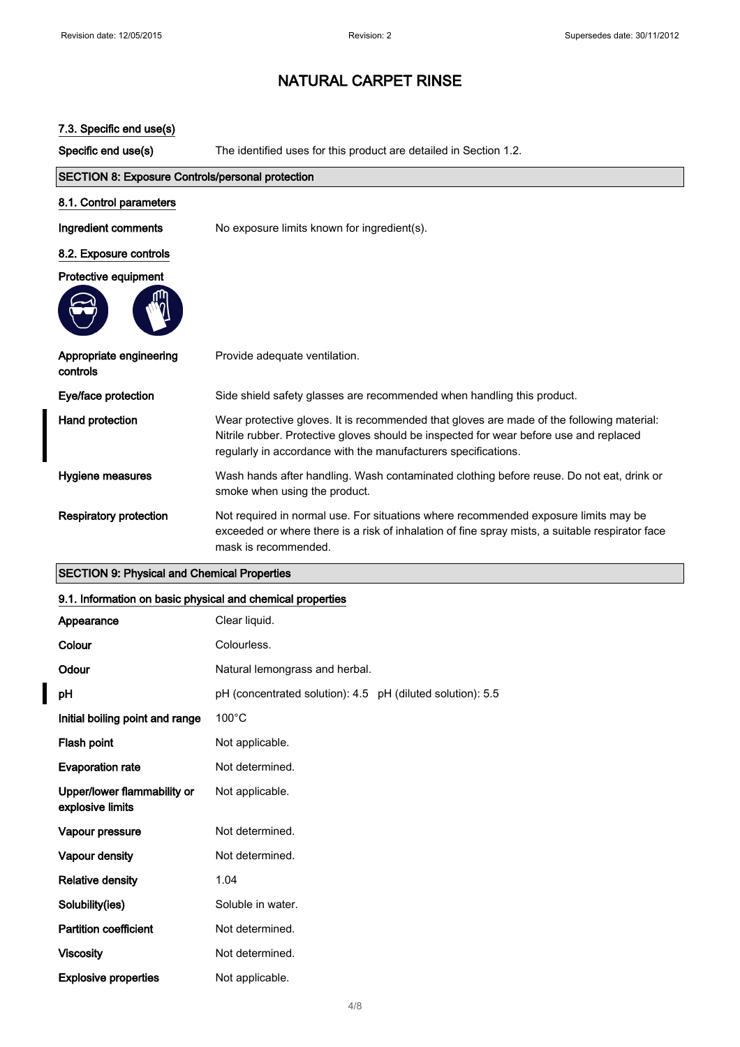| 7.3. Specific end use(s)                                |                                                                                                                                                                                                                                                       |  |
|---------------------------------------------------------|-------------------------------------------------------------------------------------------------------------------------------------------------------------------------------------------------------------------------------------------------------|--|
| Specific end use(s)                                     | The identified uses for this product are detailed in Section 1.2.                                                                                                                                                                                     |  |
| <b>SECTION 8: Exposure Controls/personal protection</b> |                                                                                                                                                                                                                                                       |  |
| 8.1. Control parameters                                 |                                                                                                                                                                                                                                                       |  |
| Ingredient comments                                     | No exposure limits known for ingredient(s).                                                                                                                                                                                                           |  |
| 8.2. Exposure controls                                  |                                                                                                                                                                                                                                                       |  |
| Protective equipment                                    |                                                                                                                                                                                                                                                       |  |
|                                                         |                                                                                                                                                                                                                                                       |  |
| Appropriate engineering<br>controls                     | Provide adequate ventilation.                                                                                                                                                                                                                         |  |
| Eye/face protection                                     | Side shield safety glasses are recommended when handling this product.                                                                                                                                                                                |  |
| Hand protection                                         | Wear protective gloves. It is recommended that gloves are made of the following material:<br>Nitrile rubber. Protective gloves should be inspected for wear before use and replaced<br>regularly in accordance with the manufacturers specifications. |  |
| Hygiene measures                                        | Wash hands after handling. Wash contaminated clothing before reuse. Do not eat, drink or<br>smoke when using the product.                                                                                                                             |  |
| <b>Respiratory protection</b>                           | Not required in normal use. For situations where recommended exposure limits may be<br>exceeded or where there is a risk of inhalation of fine spray mists, a suitable respirator face<br>mask is recommended.                                        |  |

## SECTION 9: Physical and Chemical Properties

## 9.1. Information on basic physical and chemical properties

| Appearance                                      | Clear liquid.                                              |
|-------------------------------------------------|------------------------------------------------------------|
| Colour                                          | Colourless.                                                |
| Odour                                           | Natural lemongrass and herbal.                             |
| рH                                              | pH (concentrated solution): 4.5 pH (diluted solution): 5.5 |
| Initial boiling point and range                 | $100^{\circ}$ C                                            |
| Flash point                                     | Not applicable.                                            |
| <b>Evaporation rate</b>                         | Not determined.                                            |
| Upper/lower flammability or<br>explosive limits | Not applicable.                                            |
| Vapour pressure                                 | Not determined.                                            |
| Vapour density                                  | Not determined.                                            |
| <b>Relative density</b>                         | 1.04                                                       |
| Solubility(ies)                                 | Soluble in water.                                          |
| <b>Partition coefficient</b>                    | Not determined.                                            |
| <b>Viscosity</b>                                | Not determined.                                            |
| <b>Explosive properties</b>                     | Not applicable.                                            |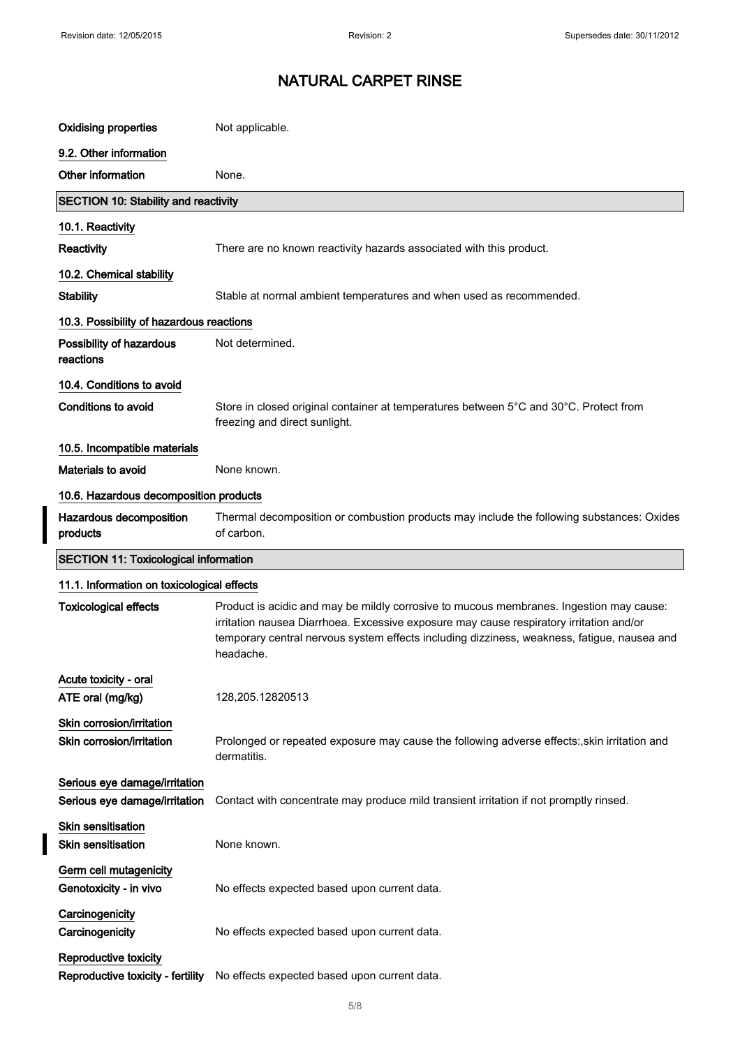$\overline{\phantom{a}}$ 

# NATURAL CARPET RINSE

| <b>Oxidising properties</b>                                    | Not applicable.                                                                                                                                                                                                                                                                                |  |
|----------------------------------------------------------------|------------------------------------------------------------------------------------------------------------------------------------------------------------------------------------------------------------------------------------------------------------------------------------------------|--|
| 9.2. Other information                                         |                                                                                                                                                                                                                                                                                                |  |
| Other information                                              | None.                                                                                                                                                                                                                                                                                          |  |
| <b>SECTION 10: Stability and reactivity</b>                    |                                                                                                                                                                                                                                                                                                |  |
| 10.1. Reactivity                                               |                                                                                                                                                                                                                                                                                                |  |
| Reactivity                                                     | There are no known reactivity hazards associated with this product.                                                                                                                                                                                                                            |  |
| 10.2. Chemical stability                                       |                                                                                                                                                                                                                                                                                                |  |
| <b>Stability</b>                                               | Stable at normal ambient temperatures and when used as recommended.                                                                                                                                                                                                                            |  |
| 10.3. Possibility of hazardous reactions                       |                                                                                                                                                                                                                                                                                                |  |
| Possibility of hazardous<br>reactions                          | Not determined.                                                                                                                                                                                                                                                                                |  |
| 10.4. Conditions to avoid                                      |                                                                                                                                                                                                                                                                                                |  |
| <b>Conditions to avoid</b>                                     | Store in closed original container at temperatures between 5°C and 30°C. Protect from<br>freezing and direct sunlight.                                                                                                                                                                         |  |
| 10.5. Incompatible materials                                   |                                                                                                                                                                                                                                                                                                |  |
| Materials to avoid                                             | None known.                                                                                                                                                                                                                                                                                    |  |
| 10.6. Hazardous decomposition products                         |                                                                                                                                                                                                                                                                                                |  |
| Hazardous decomposition<br>products                            | Thermal decomposition or combustion products may include the following substances: Oxides<br>of carbon.                                                                                                                                                                                        |  |
| <b>SECTION 11: Toxicological information</b>                   |                                                                                                                                                                                                                                                                                                |  |
|                                                                |                                                                                                                                                                                                                                                                                                |  |
| 11.1. Information on toxicological effects                     |                                                                                                                                                                                                                                                                                                |  |
| <b>Toxicological effects</b>                                   | Product is acidic and may be mildly corrosive to mucous membranes. Ingestion may cause:<br>irritation nausea Diarrhoea. Excessive exposure may cause respiratory irritation and/or<br>temporary central nervous system effects including dizziness, weakness, fatigue, nausea and<br>headache. |  |
| Acute toxicity - oral<br>ATE oral (mg/kg)                      | 128,205.12820513                                                                                                                                                                                                                                                                               |  |
| Skin corrosion/irritation<br>Skin corrosion/irritation         | Prolonged or repeated exposure may cause the following adverse effects:, skin irritation and<br>dermatitis.                                                                                                                                                                                    |  |
| Serious eye damage/irritation<br>Serious eye damage/irritation | Contact with concentrate may produce mild transient irritation if not promptly rinsed.                                                                                                                                                                                                         |  |
| Skin sensitisation<br><b>Skin sensitisation</b>                | None known.                                                                                                                                                                                                                                                                                    |  |
| Germ cell mutagenicity<br>Genotoxicity - in vivo               | No effects expected based upon current data.                                                                                                                                                                                                                                                   |  |
| Carcinogenicity<br>Carcinogenicity                             | No effects expected based upon current data.                                                                                                                                                                                                                                                   |  |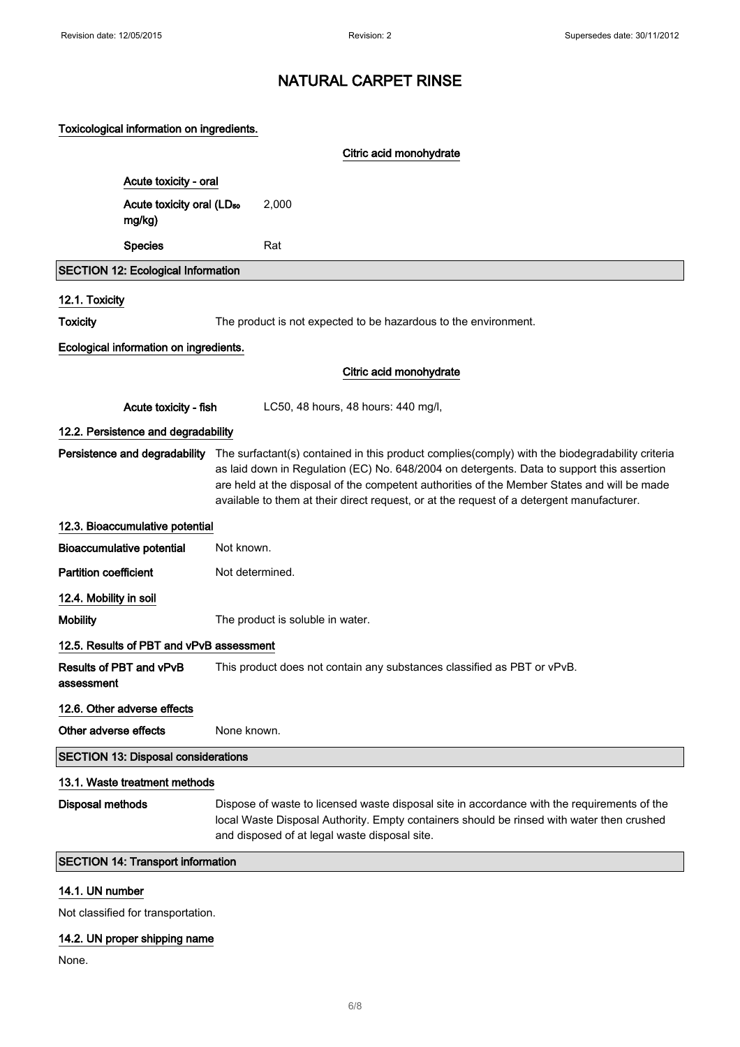### Toxicological information on ingredients.

|                              |                                                 | Citric acid monohydrate                                                                                                                                                                                                                                                                                                                                                                                                 |
|------------------------------|-------------------------------------------------|-------------------------------------------------------------------------------------------------------------------------------------------------------------------------------------------------------------------------------------------------------------------------------------------------------------------------------------------------------------------------------------------------------------------------|
|                              | Acute toxicity - oral                           |                                                                                                                                                                                                                                                                                                                                                                                                                         |
|                              | Acute toxicity oral (LD <sub>50</sub><br>mg/kg) | 2,000                                                                                                                                                                                                                                                                                                                                                                                                                   |
|                              | <b>Species</b>                                  | Rat                                                                                                                                                                                                                                                                                                                                                                                                                     |
|                              | <b>SECTION 12: Ecological Information</b>       |                                                                                                                                                                                                                                                                                                                                                                                                                         |
| 12.1. Toxicity               |                                                 |                                                                                                                                                                                                                                                                                                                                                                                                                         |
| <b>Toxicity</b>              |                                                 | The product is not expected to be hazardous to the environment.                                                                                                                                                                                                                                                                                                                                                         |
|                              | Ecological information on ingredients.          |                                                                                                                                                                                                                                                                                                                                                                                                                         |
|                              |                                                 | Citric acid monohydrate                                                                                                                                                                                                                                                                                                                                                                                                 |
|                              | Acute toxicity - fish                           | LC50, 48 hours, 48 hours: 440 mg/l,                                                                                                                                                                                                                                                                                                                                                                                     |
|                              | 12.2. Persistence and degradability             |                                                                                                                                                                                                                                                                                                                                                                                                                         |
|                              |                                                 | Persistence and degradability The surfactant(s) contained in this product complies(comply) with the biodegradability criteria<br>as laid down in Regulation (EC) No. 648/2004 on detergents. Data to support this assertion<br>are held at the disposal of the competent authorities of the Member States and will be made<br>available to them at their direct request, or at the request of a detergent manufacturer. |
|                              | 12.3. Bioaccumulative potential                 |                                                                                                                                                                                                                                                                                                                                                                                                                         |
|                              | <b>Bioaccumulative potential</b>                | Not known.                                                                                                                                                                                                                                                                                                                                                                                                              |
| <b>Partition coefficient</b> |                                                 | Not determined.                                                                                                                                                                                                                                                                                                                                                                                                         |
| 12.4. Mobility in soil       |                                                 |                                                                                                                                                                                                                                                                                                                                                                                                                         |
| <b>Mobility</b>              |                                                 | The product is soluble in water.                                                                                                                                                                                                                                                                                                                                                                                        |
|                              | 12.5. Results of PBT and vPvB assessment        |                                                                                                                                                                                                                                                                                                                                                                                                                         |
| assessment                   | Results of PBT and vPvB                         | This product does not contain any substances classified as PBT or vPvB.                                                                                                                                                                                                                                                                                                                                                 |
|                              | 12.6. Other adverse effects                     |                                                                                                                                                                                                                                                                                                                                                                                                                         |
| Other adverse effects        |                                                 | None known.                                                                                                                                                                                                                                                                                                                                                                                                             |
|                              | <b>SECTION 13: Disposal considerations</b>      |                                                                                                                                                                                                                                                                                                                                                                                                                         |
|                              | 13.1. Waste treatment methods                   |                                                                                                                                                                                                                                                                                                                                                                                                                         |
| <b>Disposal methods</b>      |                                                 | Dispose of waste to licensed waste disposal site in accordance with the requirements of the<br>local Waste Disposal Authority. Empty containers should be rinsed with water then crushed<br>and disposed of at legal waste disposal site.                                                                                                                                                                               |
|                              | <b>SECTION 14: Transport information</b>        |                                                                                                                                                                                                                                                                                                                                                                                                                         |

#### 14.1. UN number

Not classified for transportation.

## 14.2. UN proper shipping name

None.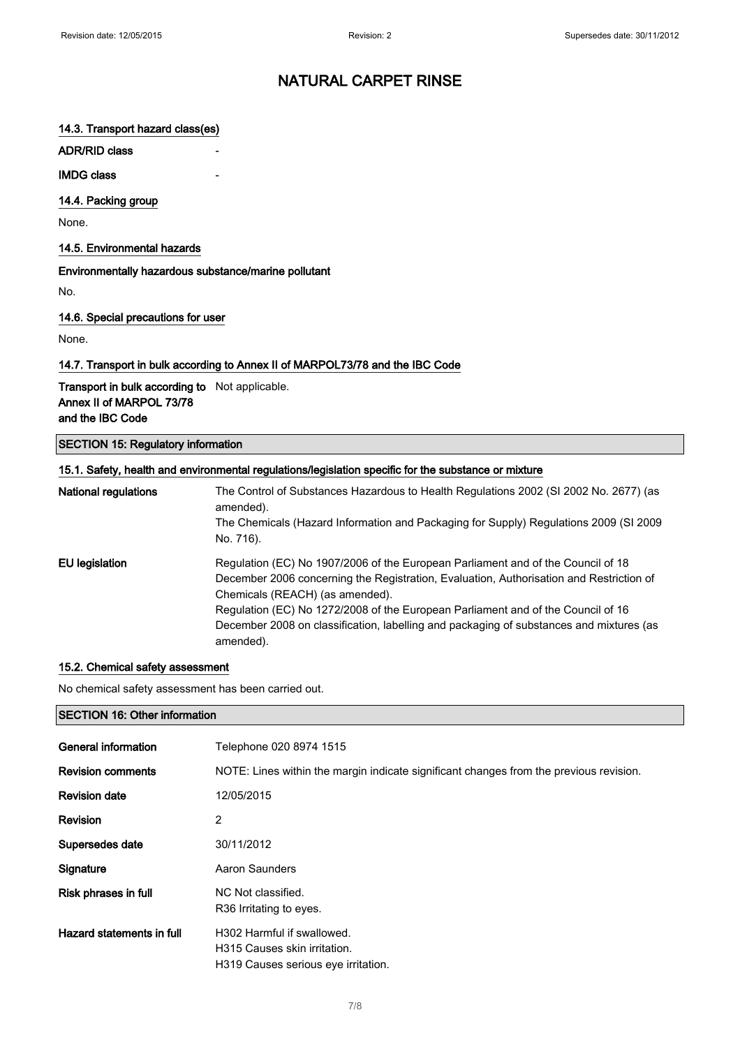## 14.3. Transport hazard class(es)

ADR/RID class

#### **IMDG class**

14.4. Packing group

None.

#### 14.5. Environmental hazards

Environmentally hazardous substance/marine pollutant

No.

#### 14.6. Special precautions for user

None.

### 14.7. Transport in bulk according to Annex II of MARPOL73/78 and the IBC Code

Transport in bulk according to Not applicable. Annex II of MARPOL 73/78 and the IBC Code

### SECTION 15: Regulatory information

|                             | 15.1. Safety, health and environmental regulations/legislation specific for the substance or mixture |
|-----------------------------|------------------------------------------------------------------------------------------------------|
| <b>National regulations</b> | The Control of Substances Hazardous to Health Regulations 2002 (SI 2002 No. 2677) (as<br>amended).   |
|                             | The Chemicals (Hazard Information and Packaging for Supply) Regulations 2009 (SI 2009                |
|                             | No. 716).                                                                                            |
| EU legislation              | Regulation (EC) No 1907/2006 of the European Parliament and of the Council of 18                     |
|                             | December 2006 concerning the Registration, Evaluation, Authorisation and Restriction of              |
|                             | Chemicals (REACH) (as amended).                                                                      |
|                             | Regulation (EC) No 1272/2008 of the European Parliament and of the Council of 16                     |
|                             | December 2008 on classification, labelling and packaging of substances and mixtures (as              |
|                             | amended).                                                                                            |

#### 15.2. Chemical safety assessment

No chemical safety assessment has been carried out.

#### SECTION 16: Other information

| General information       | Telephone 020 8974 1515                                                                           |
|---------------------------|---------------------------------------------------------------------------------------------------|
| <b>Revision comments</b>  | NOTE: Lines within the margin indicate significant changes from the previous revision.            |
| <b>Revision date</b>      | 12/05/2015                                                                                        |
| Revision                  | 2                                                                                                 |
| Supersedes date           | 30/11/2012                                                                                        |
| Signature                 | <b>Aaron Saunders</b>                                                                             |
| Risk phrases in full      | NC Not classified.<br>R <sub>36</sub> Irritating to eyes.                                         |
| Hazard statements in full | H302 Harmful if swallowed.<br>H315 Causes skin irritation.<br>H319 Causes serious eve irritation. |